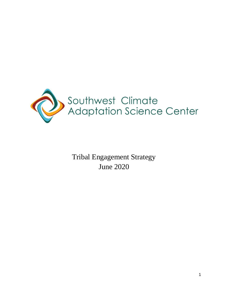

Tribal Engagement Strategy June 2020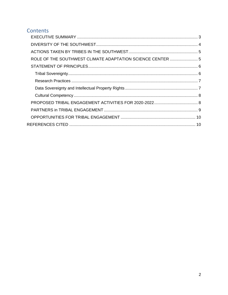### Contents

| ROLE OF THE SOUTHWEST CLIMATE ADAPTATION SCIENCE CENTER  5 |
|------------------------------------------------------------|
|                                                            |
|                                                            |
|                                                            |
|                                                            |
|                                                            |
|                                                            |
|                                                            |
|                                                            |
|                                                            |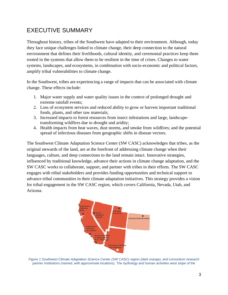### <span id="page-2-0"></span>EXECUTIVE SUMMARY

Throughout history, tribes of the Southwest have adapted to their environment. Although, today they face unique challenges linked to climate change, their deep connection to the natural environment that defines their livelihoods, cultural identity, and ceremonial practices keep them rooted in the systems that allow them to be resilient in the time of crises. Changes to water systems, landscapes, and ecosystems, in combination with socio-economic and political factors, amplify tribal vulnerabilities to climate change.

In the Southwest, tribes are experiencing a range of impacts that can be associated with climate change. These effects include:

- 1. Major water supply and water quality issues in the context of prolonged drought and extreme rainfall events;
- 2. Loss of ecosystem services and reduced ability to grow or harvest important traditional foods, plants, and other raw materials;
- 3. Increased impacts to forest resources from insect infestations and large, landscapetransforming wildfires due to drought and aridity;
- 4. Health impacts from heat waves, dust storms, and smoke from wildfires; and the potential spread of infectious diseases from geographic shifts in disease vectors.

The Southwest Climate Adaptation Science Center (SW CASC) acknowledges that tribes, as the original stewards of the land, are at the forefront of addressing climate change when their languages, culture, and deep connections to the land remain intact. Innovative strategies, influenced by traditional knowledge, advance their actions in climate change adaptation, and the SW CASC works to collaborate, support, and partner with tribes in their efforts. The SW CASC engages with tribal stakeholders and provides funding opportunities and technical support to advance tribal communities in their climate adaptation initiatives. This strategy provides a vision for tribal engagement in the SW CASC region, which covers California, Nevada, Utah, and Arizona.



*Figure 1 Southwest Climate Adaptation Science Center (SW CASC) region (dark orange), and consortium research*  partner institutions (named, with approximate locations). The hydrology and human activities west slope of the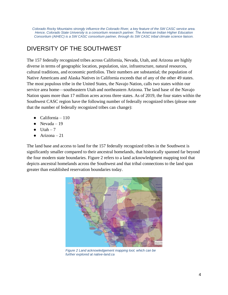*Colorado Rocky Mountains strongly influence the Colorado River, a key feature of the SW CASC service area. Hence, Colorado State University is a consortium research partner. The American Indian Higher Education Consortium (AIHEC) is a SW CASC consortium partner, through its SW CASC tribal climate science liaison.*

### <span id="page-3-0"></span>DIVERSITY OF THE SOUTHWEST

The 157 federally recognized tribes across California, Nevada, Utah, and Arizona are highly diverse in terms of geographic location, population, size, infrastructure, natural resources, cultural traditions, and economic portfolios. Their numbers are substantial; the population of Native Americans and Alaska Natives in California exceeds that of any of the other 49 states. The most populous tribe in the United States, the Navajo Nation, calls two states within our service area home—southeastern Utah and northeastern Arizona. The land base of the Navajo Nation spans more than 17 million acres across three states. As of 2019, the four states within the Southwest CASC region have the following number of federally recognized tribes (please note that the number of federally recognized tribes can change):

- $\bullet$  California 110
- $\bullet$  Nevada 19
- $\bullet$  Utah 7
- $\bullet$  Arizona 21

The land base and access to land for the 157 federally recognized tribes in the Southwest is significantly smaller compared to their ancestral homelands, that historically spanned far beyond the four modern state boundaries. Figure 2 refers to a land acknowledgment mapping tool that depicts ancestral homelands across the Southwest and that tribal connections to the land span greater than established reservation boundaries today.



*Figure 2 Land acknowledgement mapping tool, which can be further explored at native-land.ca*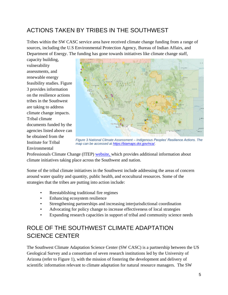### <span id="page-4-0"></span>ACTIONS TAKEN BY TRIBES IN THE SOUTHWEST

Tribes within the SW CASC service area have received climate change funding from a range of sources, including the U.S Environmental Protection Agency, Bureau of Indian Affairs, and Department of Energy. The funding has gone towards initiatives like climate change staff,

capacity building, vulnerability assessments, and renewable energy feasibility studies. Figure 3 provides information on the resilience actions tribes in the Southwest are taking to address climate change impacts. Tribal climate documents funded by the agencies listed above can be obtained from the Institute for Tribal Environmental



*Figure 3 National Climate Assessment – Indigenous Peoples' Resilience Actions. The map can be accessed at [https://biamaps.doi.gov/nca/.](https://biamaps.doi.gov/nca/)*

Professionals Climate Change (ITEP) [website,](http://www7.nau.edu/itep/main/tcc/docs/resources/9_TribalCCAssmtsAdaptationPlans_list-Oct19v2.pdf) which provides additional information about climate initiatives taking place across the Southwest and nation.

Some of the tribal climate initiatives in the Southwest include addressing the areas of concern around water quality and quantity, public health, and ecocultural resources. Some of the strategies that the tribes are putting into action include:

- Reestablishing traditional fire regimes
- Enhancing ecosystem resilience
- Strengthening partnerships and increasing interjurisdictional coordination
- Advocating for policy change to increase effectiveness of local strategies
- Expanding research capacities in support of tribal and community science needs

## <span id="page-4-1"></span>ROLE OF THE SOUTHWEST CLIMATE ADAPTATION SCIENCE CENTER

The Southwest Climate Adaptation Science Center (SW CASC) is a partnership between the US Geological Survey and a consortium of seven research institutions led by the University of Arizona (refer to Figure 1), with the mission of fostering the development and delivery of scientific information relevant to climate adaptation for natural resource managers. The SW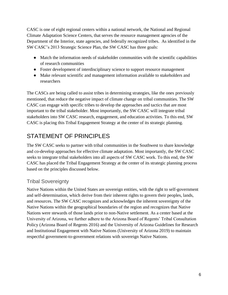CASC is one of eight regional centers within a national network, the National and Regional Climate Adaptation Science Centers, that serves the resource management agencies of the Department of the Interior, state agencies, and federally recognized tribes. As identified in the SW CASC's 2013 Strategic Science Plan, the SW CASC has three goals:

- Match the information needs of stakeholder communities with the scientific capabilities of research communities
- Foster development of interdisciplinary science to support resource management
- Make relevant scientific and management information available to stakeholders and researchers

The CASCs are being called to assist tribes in determining strategies, like the ones previously mentioned, that reduce the negative impact of climate change on tribal communities. The SW CASC can engage with specific tribes to develop the approaches and tactics that are most important to the tribal stakeholder. Most importantly, the SW CASC will integrate tribal stakeholders into SW CASC research, engagement, and education activities. To this end, SW CASC is placing this Tribal Engagement Strategy at the center of its strategic planning.

# <span id="page-5-0"></span>STATEMENT OF PRINCIPLES

The SW CASC seeks to partner with tribal communities in the Southwest to share knowledge and co-develop approaches for effective climate adaptation. Most importantly, the SW CASC seeks to integrate tribal stakeholders into all aspects of SW CASC work. To this end, the SW CASC has placed the Tribal Engagement Strategy at the center of its strategic planning process based on the principles discussed below.

#### <span id="page-5-1"></span>Tribal Sovereignty

Native Nations within the United States are sovereign entities, with the right to self-government and self-determination, which derive from their inherent rights to govern their peoples, lands, and resources. The SW CASC recognizes and acknowledges the inherent sovereignty of the Native Nations within the geographical boundaries of the region and recognizes that Native Nations were stewards of those lands prior to non-Native settlement. As a center based at the University of Arizona, we further adhere to the Arizona Board of Regents' Tribal Consultation Policy (Arizona Board of Regents 2016) and the University of Arizona Guidelines for Research and Institutional Engagement with Native Nations (University of Arizona 2019) to maintain respectful government-to-government relations with sovereign Native Nations.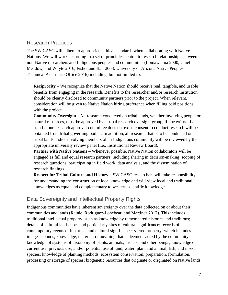#### <span id="page-6-0"></span>Research Practices

The SW CASC will adhere to appropriate ethical standards when collaborating with Native Nations. We will work according to a set of principles central to research relationships between non-Native researchers and Indigenous peoples and communities (Lomawaima 2000; Chief, Meadow, and Whyte 2016; Fisher and Ball 2003; University of Arizona Native Peoples Technical Assistance Office 2016) including, but not limited to:

**Reciprocity** – We recognize that the Native Nation should receive real, tangible, and usable benefits from engaging in the research. Benefits to the researcher and/or research institution should be clearly disclosed to community partners prior to the project. When relevant, consideration will be given to Native Nation hiring preference when filling paid positions with the project.

**Community Oversight** - All research conducted on tribal lands, whether involving people or natural resources, must be approved by a tribal research oversight group, if one exists. If a stand-alone research approval committee does not exist, consent to conduct research will be obtained from tribal governing bodies. In addition, all research that is to be conducted on tribal lands and/or involving members of an Indigenous community will be reviewed by the appropriate university review panel (i.e., Institutional Review Board).

**Partner with Native Nations** – Whenever possible, Native Nation collaborators will be engaged as full and equal research partners, including sharing in decision-making, scoping of research questions, participating in field work, data analysis, and the dissemination of research findings.

**Respect for Tribal Culture and History** – SW CASC researchers will take responsibility for understanding the construction of local knowledge and will view local and traditional knowledges as equal and complementary to western scientific knowledge.

#### <span id="page-6-1"></span>Data Sovereignty and Intellectual Property Rights

Indigenous communities have inherent sovereignty over the data collected on or about their communities and lands (Rainie, Rodriguez-Lonebear, and Martinez 2017). This includes traditional intellectual property, such as knowledge by remembered histories and traditions; details of cultural landscapes and particularly sites of cultural significance; records of contemporary events of historical and cultural significance; sacred property, which includes images, sounds, knowledge, material, or anything that is deemed sacred by the community; knowledge of systems of taxonomy of plants, animals, insects, and other beings; knowledge of current use, previous use, and/or potential use of land, water, plant and animal, fish, and insect species; knowledge of planting methods, ecosystem conservation, preparation, formulation, processing or storage of species; biogenetic resources that originate or originated on Native lands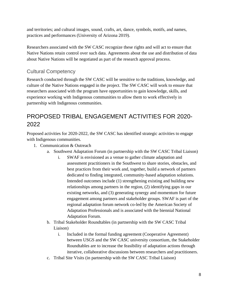and territories; and cultural images, sound, crafts, art, dance, symbols, motifs, and names, practices and performances (University of Arizona 2019).

Researchers associated with the SW CASC recognize these rights and will act to ensure that Native Nations retain control over such data. Agreements about the use and distribution of data about Native Nations will be negotiated as part of the research approval process.

#### <span id="page-7-0"></span>Cultural Competency

Research conducted through the SW CASC will be sensitive to the traditions, knowledge, and culture of the Native Nations engaged in the project. The SW CASC will work to ensure that researchers associated with the program have opportunities to gain knowledge, skills, and experience working with Indigenous communities to allow them to work effectively in partnership with Indigenous communities.

### <span id="page-7-1"></span>PROPOSED TRIBAL ENGAGEMENT ACTIVITIES FOR 2020- 2022

Proposed activities for 2020-2022, the SW CASC has identified strategic activities to engage with Indigenous communities.

- 1. Communication & Outreach
	- a. Southwest Adaptation Forum (in partnership with the SW CASC Tribal Liaison)
		- i. SWAF is envisioned as a venue to gather climate adaptation and assessment practitioners in the Southwest to share stories, obstacles, and best practices from their work and, together, build a network of partners dedicated to finding integrated, community-based adaptation solutions. Intended outcomes include (1) strengthening existing and building new relationships among partners in the region, (2) identifying gaps in our existing networks, and (3) generating synergy and momentum for future engagement among partners and stakeholder groups. SWAF is part of the regional adaptation forum network co-led by the American Society of Adaptation Professionals and is associated with the biennial National Adaptation Forum.
	- b. Tribal Stakeholder Roundtables (in partnership with the SW CASC Tribal Liaison)
		- i. Included in the formal funding agreement (Cooperative Agreement) between USGS and the SW CASC university consortium, the Stakeholder Roundtables are to increase the feasibility of adaptation actions through iterative, collaborative discussions between researchers and practitioners.
	- c. Tribal Site Visits (in partnership with the SW CASC Tribal Liaison)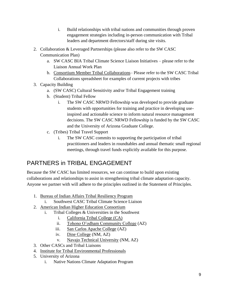- i. Build relationships with tribal nations and communities through proven engagement strategies including in-person communication with Tribal leaders and department directors/staff during site visits.
- 2. Collaboration & Leveraged Partnerships (please also refer to the SW CASC Communication Plan)
	- a. SW CASC BIA Tribal Climate Science Liaison Initiatives please refer to the Liaison Annual Work Plan
	- b. [Consortium Member Tribal Collaborations–](https://docs.google.com/spreadsheets/d/1S2t2fhCKoMyx1p-ZULTCP43NhlFL-47slfU-RLw12_8/edit#gid=123292561) Please refer to the SW CASC Tribal Collaborations spreadsheet for examples of current projects with tribes
- 3. Capacity Building
	- a. (SW CASC) Cultural Sensitivity and/or Tribal Engagement training
	- b. (Student) Tribal Fellow
		- i. The SW CASC NRWD Fellowship was developed to provide graduate students with opportunities for training and practice in developing useinspired and actionable science to inform natural resource management decisions. The SW CASC NRWD Fellowship is funded by the SW CASC and the University of Arizona Graduate College.
	- c. (Tribes) Tribal Travel Support
		- i. The SW CASC commits to supporting the participation of tribal practitioners and leaders in roundtables and annual thematic small regional meetings, through travel funds explicitly available for this purpose.

### <span id="page-8-0"></span>PARTNERS in TRIBAL ENGAGEMENT

Because the SW CASC has limited resources, we can continue to build upon existing collaborations and relationships to assist in strengthening tribal climate adaptation capacity. Anyone we partner with will adhere to the principles outlined in the Statement of Principles.

- 1. [Bureau of Indian Affairs Tribal Resiliency Program](https://www.bia.gov/bia/ots/tribal-resilience-program)
- Southwest CASC Tribal Climate Science Liaison
- 2. [American Indian Higher Education Consortium](http://www.aihec.org/)
	- i. Tribal Colleges & Universities in the Southwest
		- i. [California Tribal College](https://californiatribalcollege.com/) (CA)
		- ii. [Tohono O'odham Community College](http://www.tocc.edu/) (AZ)
		- iii. [San Carlos Apache College](http://www.apachecollege.org/) (AZ)
		- iv. [Dine College](https://www.dinecollege.edu/) (NM, AZ)
		- v. [Navajo Technical University](http://www.navajotech.edu/) (NM, AZ)
- 3. Other CASCs and Tribal Liaisons
- 4. [Institute for Tribal Environmental Professionals](http://www7.nau.edu/itep/main/Home/)
- 5. University of Arizona
	- i. Native Nations Climate Adaptation Program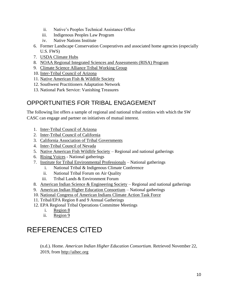- ii. Native's Peoples Technical Assistance Office
- iii. Indigenous Peoples Law Program
- iv. Native Nations Institute
- 6. Former Landscape Conservation Cooperatives and associated home agencies (especially U.S. FWS)
- 7. [USDA Climate Hubs](https://www.climatehubs.usda.gov/)
- 8. [NOAA Regional Integrated Sciences and Assessments \(RISA\) Program](https://cpo.noaa.gov/Meet-the-Divisions/Climate-and-Societal-Interactions/RISA/About-RISA)
- 9. [Climate Science Alliance Tribal Working Group](https://www.climatesciencealliance.org/tribal-resilience)
- 10. [Inter-Tribal Council of Arizona](https://itcaonline.com/)
- 11. [Native American Fish & Wildlife Society](https://nafws.org/)
- 12. Southwest Practitioners Adaptation Network
- 13. National Park Service: Vanishing Treasures

### <span id="page-9-0"></span>OPPORTUNITIES FOR TRIBAL ENGAGEMENT

The following list offers a sample of regional and national tribal entities with which the SW CASC can engage and partner on initiatives of mutual interest.

- 1. [Inter-Tribal Council of Arizona](http://www.itcaonline.com/)
- 2. [Inter-Tribal Council of California](http://www.itccinc.org/)
- 3. [California Association of Tribal Governments](http://www.catg.us/)
- 4. [Inter-Tribal Council of Nevada](http://www.itcn.org/)
- 5. [Native American Fish Wildlife Society](https://nafws.org/) Regional and national gatherings
- 6. [Rising Voices](https://risingvoices.ucar.edu/) National gatherings
- 7. [Institute for Tribal Environmental Professionals](http://www7.nau.edu/itep/main/Home/) National gatherings
	- i. National Tribal & Indigenous Climate Conference
	- ii. National Tribal Forum on Air Quality
	- iii. Tribal Lands & Environment Forum
- 8. [American Indian Science & Engineering Society](https://www.aises.org/) Regional and national gatherings
- 9. [American Indian Higher Education Consortium](http://www.aihec.org/) National gatherings
- 10. [National Congress of American Indians Climate Action Task Force](http://www.ncai.org/initiatives/partnerships-initiatives/climate-action-task-force)
- 11. Tribal/EPA Region 8 and 9 Annual Gatherings
- 12. EPA Regional Tribal Operations Committee Meetings
	- i. [Region 8](https://www.epa.gov/tribal/region-8-tribal-program#rtoc)
	- ii. [Region 9](https://www.epa.gov/tribal-pacific-sw/region-9-regional-tribal-operations-committee-rtoc)

# <span id="page-9-1"></span>REFERENCES CITED

(n.d.). Home. *American Indian Higher Education Consortium.* Retrieved November 22, 2019, from [http://aihec.org](http://aihec.org/)